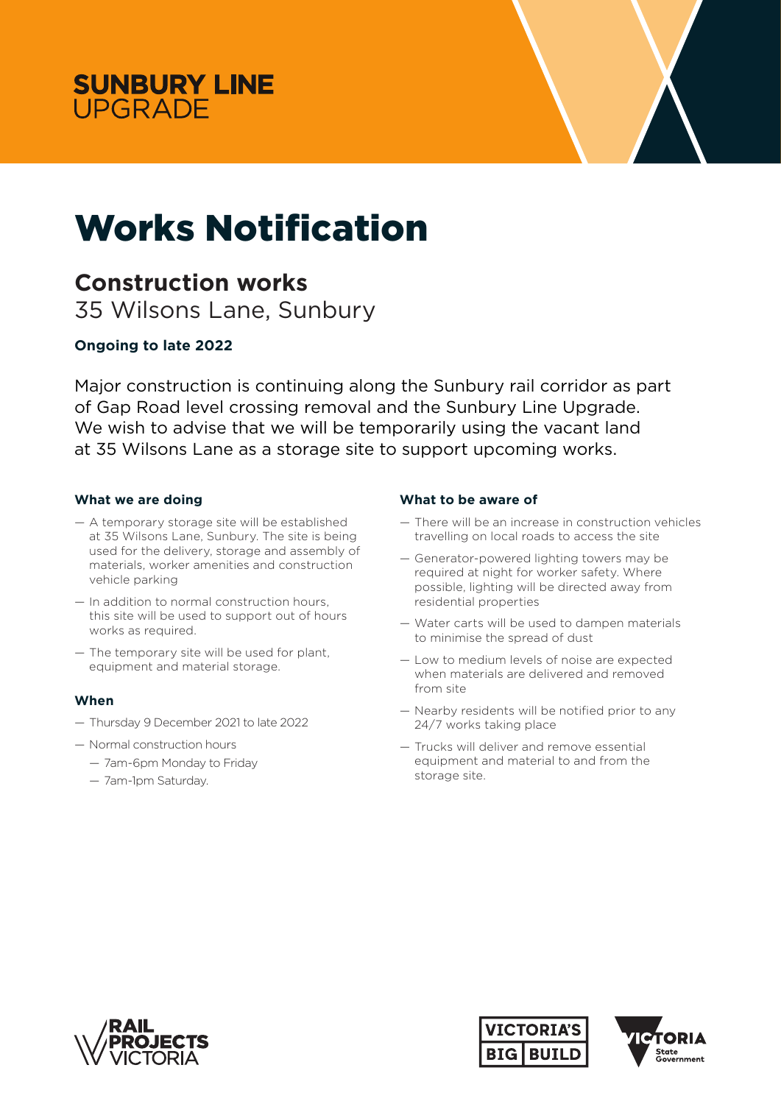



# Works Notification

## **Construction works**

35 Wilsons Lane, Sunbury

### **Ongoing to late 2022**

Major construction is continuing along the Sunbury rail corridor as part of Gap Road level crossing removal and the Sunbury Line Upgrade. We wish to advise that we will be temporarily using the vacant land at 35 Wilsons Lane as a storage site to support upcoming works.

#### **What we are doing**

- A temporary storage site will be established at 35 Wilsons Lane, Sunbury. The site is being used for the delivery, storage and assembly of materials, worker amenities and construction vehicle parking
- In addition to normal construction hours, this site will be used to support out of hours works as required.
- The temporary site will be used for plant, equipment and material storage.

#### **When**

- Thursday 9 December 2021 to late 2022
- Normal construction hours
	- 7am-6pm Monday to Friday
	- 7am-1pm Saturday.

#### **What to be aware of**

- There will be an increase in construction vehicles travelling on local roads to access the site
- Generator-powered lighting towers may be required at night for worker safety. Where possible, lighting will be directed away from residential properties
- Water carts will be used to dampen materials to minimise the spread of dust
- Low to medium levels of noise are expected when materials are delivered and removed from site
- Nearby residents will be notified prior to any 24/7 works taking place
- Trucks will deliver and remove essential equipment and material to and from the storage site.